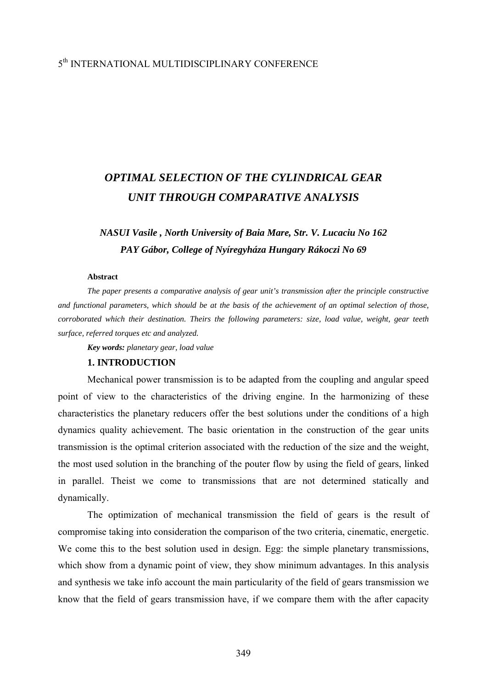## 5th INTERNATIONAL MULTIDISCIPLINARY CONFERENCE

# *OPTIMAL SELECTION OF THE CYLINDRICAL GEAR UNIT THROUGH COMPARATIVE ANALYSIS*

## *NASUI Vasile , North University of Baia Mare, Str. V. Lucaciu No 162 PAY Gábor, College of Nyíregyháza Hungary Rákoczi No 69*

#### **Abstract**

*The paper presents a comparative analysis of gear unit's transmission after the principle constructive and functional parameters, which should be at the basis of the achievement of an optimal selection of those, corroborated which their destination. Theirs the following parameters: size, load value, weight, gear teeth surface, referred torques etc and analyzed.* 

*Key words: planetary gear, load value* 

#### **1. INTRODUCTION**

Mechanical power transmission is to be adapted from the coupling and angular speed point of view to the characteristics of the driving engine. In the harmonizing of these characteristics the planetary reducers offer the best solutions under the conditions of a high dynamics quality achievement. The basic orientation in the construction of the gear units transmission is the optimal criterion associated with the reduction of the size and the weight, the most used solution in the branching of the pouter flow by using the field of gears, linked in parallel. Theist we come to transmissions that are not determined statically and dynamically.

The optimization of mechanical transmission the field of gears is the result of compromise taking into consideration the comparison of the two criteria, cinematic, energetic. We come this to the best solution used in design. Egg: the simple planetary transmissions, which show from a dynamic point of view, they show minimum advantages. In this analysis and synthesis we take info account the main particularity of the field of gears transmission we know that the field of gears transmission have, if we compare them with the after capacity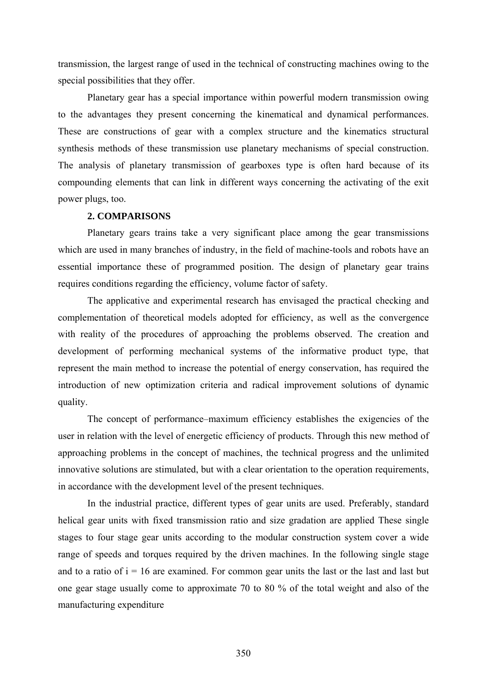transmission, the largest range of used in the technical of constructing machines owing to the special possibilities that they offer.

Planetary gear has a special importance within powerful modern transmission owing to the advantages they present concerning the kinematical and dynamical performances. These are constructions of gear with a complex structure and the kinematics structural synthesis methods of these transmission use planetary mechanisms of special construction. The analysis of planetary transmission of gearboxes type is often hard because of its compounding elements that can link in different ways concerning the activating of the exit power plugs, too.

#### **2. COMPARISONS**

Planetary gears trains take a very significant place among the gear transmissions which are used in many branches of industry, in the field of machine-tools and robots have an essential importance these of programmed position. The design of planetary gear trains requires conditions regarding the efficiency, volume factor of safety.

The applicative and experimental research has envisaged the practical checking and complementation of theoretical models adopted for efficiency, as well as the convergence with reality of the procedures of approaching the problems observed. The creation and development of performing mechanical systems of the informative product type, that represent the main method to increase the potential of energy conservation, has required the introduction of new optimization criteria and radical improvement solutions of dynamic quality.

The concept of performance–maximum efficiency establishes the exigencies of the user in relation with the level of energetic efficiency of products. Through this new method of approaching problems in the concept of machines, the technical progress and the unlimited innovative solutions are stimulated, but with a clear orientation to the operation requirements, in accordance with the development level of the present techniques.

In the industrial practice, different types of gear units are used. Preferably, standard helical gear units with fixed transmission ratio and size gradation are applied These single stages to four stage gear units according to the modular construction system cover a wide range of speeds and torques required by the driven machines. In the following single stage and to a ratio of  $i = 16$  are examined. For common gear units the last or the last and last but one gear stage usually come to approximate 70 to 80 % of the total weight and also of the manufacturing expenditure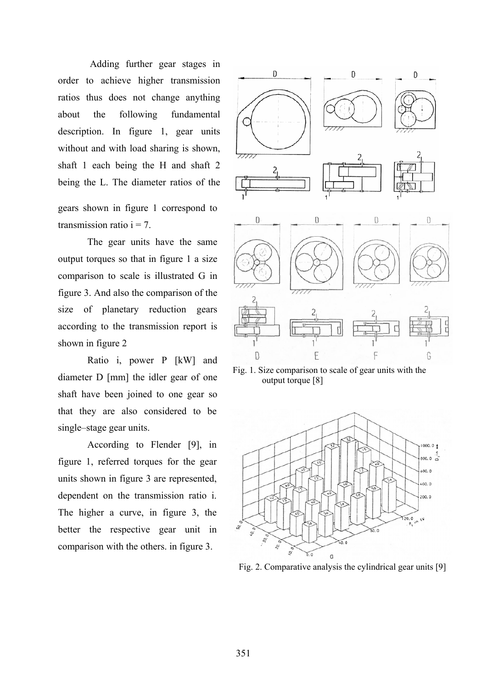Adding further gear stages in order to achieve higher transmission ratios thus does not change anything about the following fundamental description. In figure 1, gear units without and with load sharing is shown, shaft 1 each being the H and shaft 2 being the L. The diameter ratios of the

gears shown in figure 1 correspond to transmission ratio  $i = 7$ .

The gear units have the same output torques so that in figure 1 a size comparison to scale is illustrated G in figure 3. And also the comparison of the size of planetary reduction gears according to the transmission report is shown in figure 2

Ratio i, power P [kW] and diameter D [mm] the idler gear of one shaft have been joined to one gear so that they are also considered to be single–stage gear units.

According to Flender [9], in figure 1, referred torques for the gear units shown in figure 3 are represented, dependent on the transmission ratio i. The higher a curve, in figure 3, the better the respective gear unit in comparison with the others. in figure 3.



 Fig. 1. Size comparison to scale of gear units with the output torque [8]



Fig. 2. Comparative analysis the cylindrical gear units [9]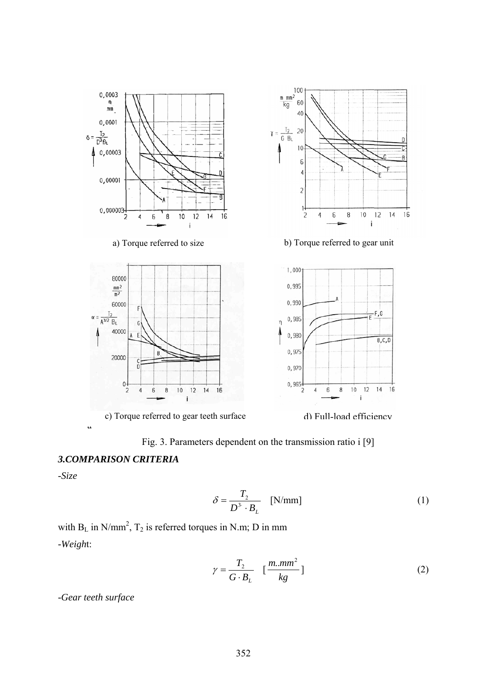



### *3.COMPARISON CRITERIA*

*-Size* 

$$
\delta = \frac{T_2}{D^3 \cdot B_L} \quad \text{[N/mm]} \tag{1}
$$

with  $B_L$  in N/mm<sup>2</sup>,  $T_2$  is referred torques in N.m; D in mm *-Weigh*t:

$$
\gamma = \frac{T_2}{G \cdot B_L} \quad \left[\frac{m \dots m m^2}{kg}\right] \tag{2}
$$

*-Gear teeth surface*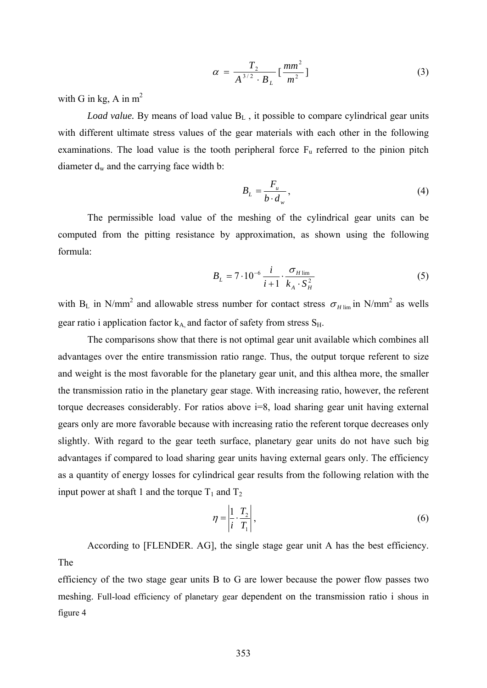$$
\alpha = \frac{T_2}{A^{3/2} \cdot B_L} [\frac{mm^2}{m^2}]
$$
 (3)

with G in kg, A in  $m^2$ 

*Load value.* By means of load value B<sub>L</sub>, it possible to compare cylindrical gear units with different ultimate stress values of the gear materials with each other in the following examinations. The load value is the tooth peripheral force  $F_u$  referred to the pinion pitch diameter  $d_w$  and the carrying face width b:

$$
B_L = \frac{F_u}{b \cdot d_w},\tag{4}
$$

The permissible load value of the meshing of the cylindrical gear units can be computed from the pitting resistance by approximation, as shown using the following formula:

$$
B_{L} = 7 \cdot 10^{-6} \frac{i}{i+1} \cdot \frac{\sigma_{H \lim}}{k_{A} \cdot S_{H}^{2}}
$$
 (5)

with B<sub>L</sub> in N/mm<sup>2</sup> and allowable stress number for contact stress  $\sigma_{H \text{lim}}$  in N/mm<sup>2</sup> as wells gear ratio i application factor  $k_A$  and factor of safety from stress  $S_H$ .

The comparisons show that there is not optimal gear unit available which combines all advantages over the entire transmission ratio range. Thus, the output torque referent to size and weight is the most favorable for the planetary gear unit, and this althea more, the smaller the transmission ratio in the planetary gear stage. With increasing ratio, however, the referent torque decreases considerably. For ratios above i=8, load sharing gear unit having external gears only are more favorable because with increasing ratio the referent torque decreases only slightly. With regard to the gear teeth surface, planetary gear units do not have such big advantages if compared to load sharing gear units having external gears only. The efficiency as a quantity of energy losses for cylindrical gear results from the following relation with the input power at shaft 1 and the torque  $T_1$  and  $T_2$ 

$$
\eta = \left| \frac{1}{i} \cdot \frac{T_2}{T_1} \right|,\tag{6}
$$

 According to [FLENDER. AG], the single stage gear unit A has the best efficiency. The

efficiency of the two stage gear units B to G are lower because the power flow passes two meshing. Full-load efficiency of planetary gear dependent on the transmission ratio i shous in figure 4